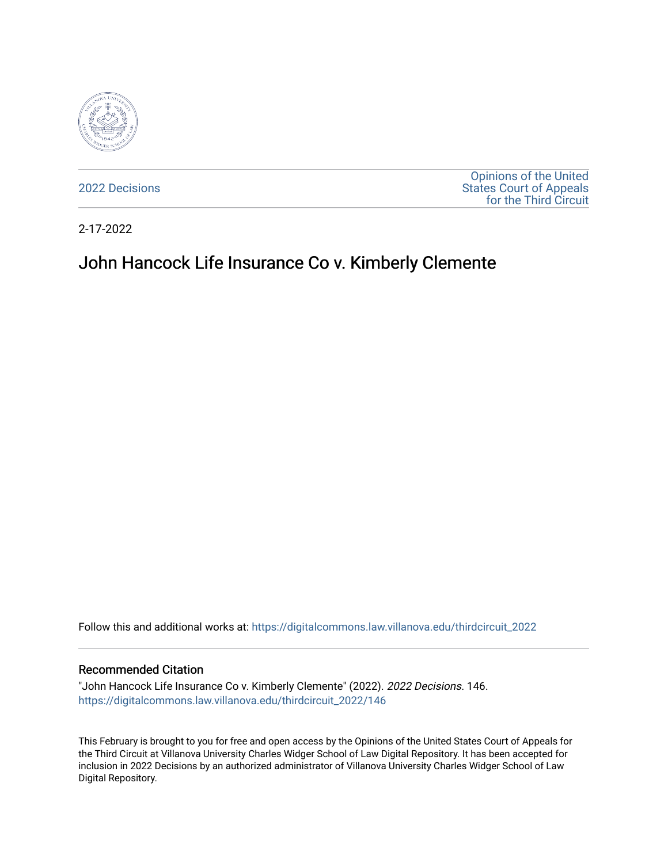

[2022 Decisions](https://digitalcommons.law.villanova.edu/thirdcircuit_2022)

[Opinions of the United](https://digitalcommons.law.villanova.edu/thirdcircuit)  [States Court of Appeals](https://digitalcommons.law.villanova.edu/thirdcircuit)  [for the Third Circuit](https://digitalcommons.law.villanova.edu/thirdcircuit) 

2-17-2022

# John Hancock Life Insurance Co v. Kimberly Clemente

Follow this and additional works at: [https://digitalcommons.law.villanova.edu/thirdcircuit\\_2022](https://digitalcommons.law.villanova.edu/thirdcircuit_2022?utm_source=digitalcommons.law.villanova.edu%2Fthirdcircuit_2022%2F146&utm_medium=PDF&utm_campaign=PDFCoverPages) 

#### Recommended Citation

"John Hancock Life Insurance Co v. Kimberly Clemente" (2022). 2022 Decisions. 146. [https://digitalcommons.law.villanova.edu/thirdcircuit\\_2022/146](https://digitalcommons.law.villanova.edu/thirdcircuit_2022/146?utm_source=digitalcommons.law.villanova.edu%2Fthirdcircuit_2022%2F146&utm_medium=PDF&utm_campaign=PDFCoverPages)

This February is brought to you for free and open access by the Opinions of the United States Court of Appeals for the Third Circuit at Villanova University Charles Widger School of Law Digital Repository. It has been accepted for inclusion in 2022 Decisions by an authorized administrator of Villanova University Charles Widger School of Law Digital Repository.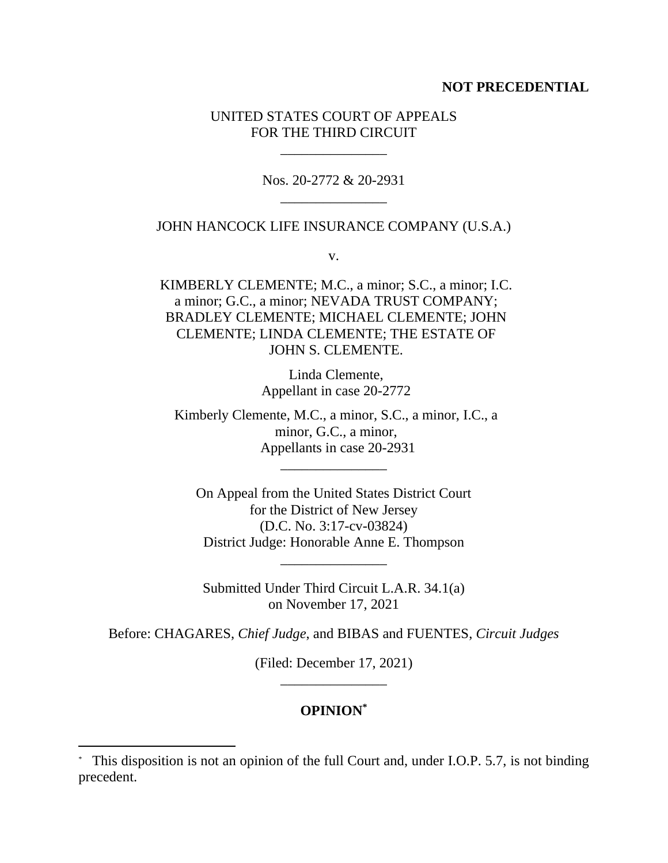## **NOT PRECEDENTIAL**

## UNITED STATES COURT OF APPEALS FOR THE THIRD CIRCUIT

\_\_\_\_\_\_\_\_\_\_\_\_\_\_\_

Nos. 20-2772 & 20-2931 \_\_\_\_\_\_\_\_\_\_\_\_\_\_\_

## JOHN HANCOCK LIFE INSURANCE COMPANY (U.S.A.)

v.

KIMBERLY CLEMENTE; M.C., a minor; S.C., a minor; I.C. a minor; G.C., a minor; NEVADA TRUST COMPANY; BRADLEY CLEMENTE; MICHAEL CLEMENTE; JOHN CLEMENTE; LINDA CLEMENTE; THE ESTATE OF JOHN S. CLEMENTE.

> Linda Clemente, Appellant in case 20-2772

Kimberly Clemente, M.C., a minor, S.C., a minor, I.C., a minor, G.C., a minor, Appellants in case 20-2931

\_\_\_\_\_\_\_\_\_\_\_\_\_\_\_

On Appeal from the United States District Court for the District of New Jersey (D.C. No. 3:17-cv-03824) District Judge: Honorable Anne E. Thompson

Submitted Under Third Circuit L.A.R. 34.1(a) on November 17, 2021

\_\_\_\_\_\_\_\_\_\_\_\_\_\_\_

Before: CHAGARES, *Chief Judge*, and BIBAS and FUENTES, *Circuit Judges*

(Filed: December 17, 2021) \_\_\_\_\_\_\_\_\_\_\_\_\_\_\_

# **OPINION\***

<sup>\*</sup> This disposition is not an opinion of the full Court and, under I.O.P. 5.7, is not binding precedent.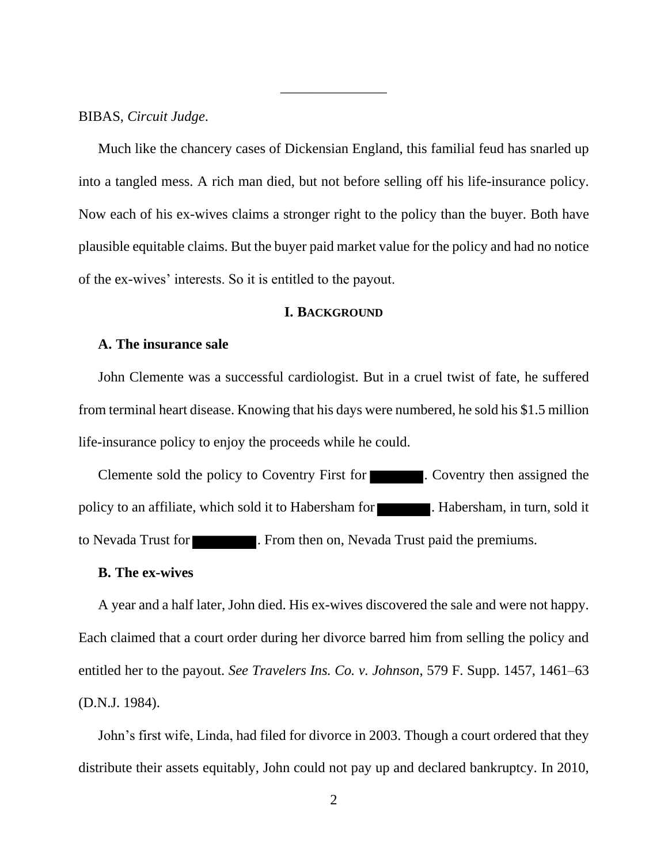BIBAS, *Circuit Judge*.

Much like the chancery cases of Dickensian England, this familial feud has snarled up into a tangled mess. A rich man died, but not before selling off his life-insurance policy. Now each of his ex-wives claims a stronger right to the policy than the buyer. Both have plausible equitable claims. But the buyer paid market value for the policy and had no notice of the ex-wives' interests. So it is entitled to the payout.

\_\_\_\_\_\_\_\_\_\_\_\_\_\_\_

## **I. BACKGROUND**

## **A. The insurance sale**

John Clemente was a successful cardiologist. But in a cruel twist of fate, he suffered from terminal heart disease. Knowing that his days were numbered, he sold his \$1.5 million life-insurance policy to enjoy the proceeds while he could.

Clemente sold the policy to Coventry First for **Coventry**. Coventry then assigned the policy to an affiliate, which sold it to Habersham for **the contract of Habersham**, in turn, sold it to Nevada Trust for **Exercise 1.** From then on, Nevada Trust paid the premiums.

## **B. The ex-wives**

A year and a half later, John died. His ex-wives discovered the sale and were not happy. Each claimed that a court order during her divorce barred him from selling the policy and entitled her to the payout. *See Travelers Ins. Co. v. Johnson*, 579 F. Supp. 1457, 1461–63 (D.N.J. 1984).

John's first wife, Linda, had filed for divorce in 2003. Though a court ordered that they distribute their assets equitably, John could not pay up and declared bankruptcy. In 2010,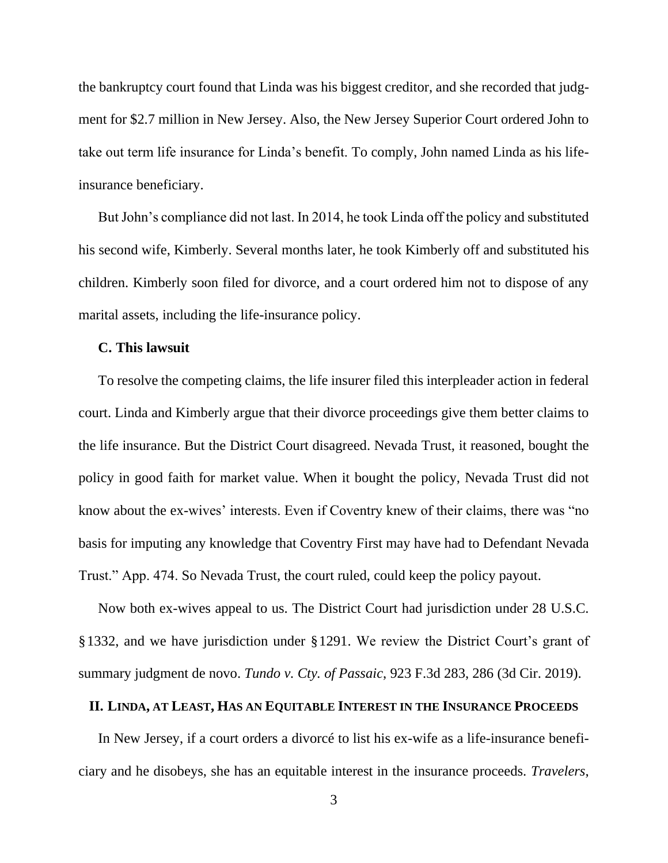the bankruptcy court found that Linda was his biggest creditor, and she recorded that judgment for \$2.7 million in New Jersey. Also, the New Jersey Superior Court ordered John to take out term life insurance for Linda's benefit. To comply, John named Linda as his lifeinsurance beneficiary.

But John's compliance did not last. In 2014, he took Linda off the policy and substituted his second wife, Kimberly. Several months later, he took Kimberly off and substituted his children. Kimberly soon filed for divorce, and a court ordered him not to dispose of any marital assets, including the life-insurance policy.

## **C. This lawsuit**

To resolve the competing claims, the life insurer filed this interpleader action in federal court. Linda and Kimberly argue that their divorce proceedings give them better claims to the life insurance. But the District Court disagreed. Nevada Trust, it reasoned, bought the policy in good faith for market value. When it bought the policy, Nevada Trust did not know about the ex-wives' interests. Even if Coventry knew of their claims, there was "no basis for imputing any knowledge that Coventry First may have had to Defendant Nevada Trust." App. 474. So Nevada Trust, the court ruled, could keep the policy payout.

Now both ex-wives appeal to us. The District Court had jurisdiction under 28 U.S.C. §1332, and we have jurisdiction under §1291. We review the District Court's grant of summary judgment de novo. *Tundo v. Cty. of Passaic*, 923 F.3d 283, 286 (3d Cir. 2019).

# **II. LINDA, AT LEAST, HAS AN EQUITABLE INTEREST IN THE INSURANCE PROCEEDS**

In New Jersey, if a court orders a divorcé to list his ex-wife as a life-insurance beneficiary and he disobeys, she has an equitable interest in the insurance proceeds. *Travelers*,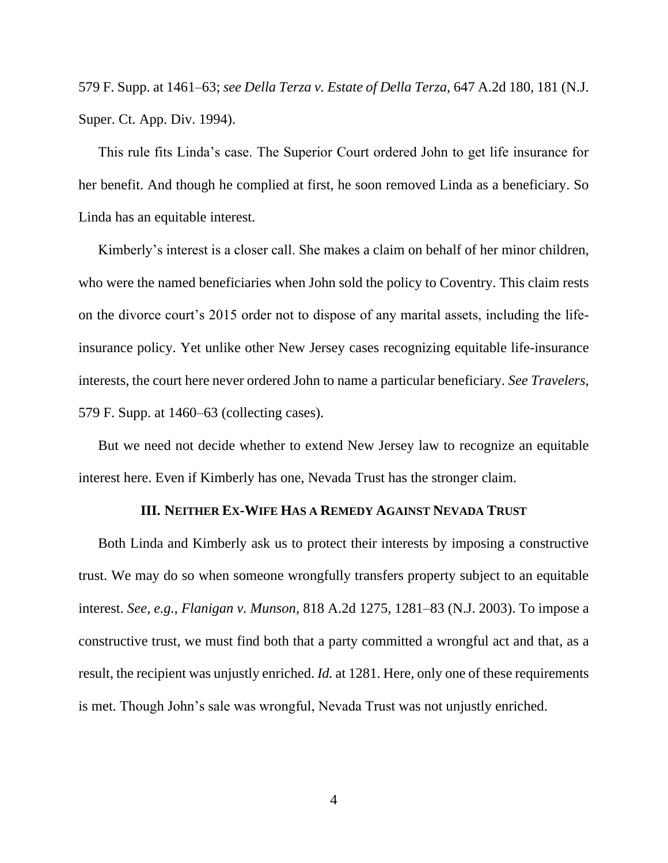579 F. Supp. at 1461–63; *see Della Terza v. Estate of Della Terza*, 647 A.2d 180, 181 (N.J. Super. Ct. App. Div. 1994).

This rule fits Linda's case. The Superior Court ordered John to get life insurance for her benefit. And though he complied at first, he soon removed Linda as a beneficiary. So Linda has an equitable interest.

Kimberly's interest is a closer call. She makes a claim on behalf of her minor children, who were the named beneficiaries when John sold the policy to Coventry. This claim rests on the divorce court's 2015 order not to dispose of any marital assets, including the lifeinsurance policy. Yet unlike other New Jersey cases recognizing equitable life-insurance interests, the court here never ordered John to name a particular beneficiary. *See Travelers*, 579 F. Supp. at 1460–63 (collecting cases).

But we need not decide whether to extend New Jersey law to recognize an equitable interest here. Even if Kimberly has one, Nevada Trust has the stronger claim.

## **III. NEITHER EX-WIFE HAS A REMEDY AGAINST NEVADA TRUST**

Both Linda and Kimberly ask us to protect their interests by imposing a constructive trust. We may do so when someone wrongfully transfers property subject to an equitable interest. *See, e.g.*, *Flanigan v. Munson*, 818 A.2d 1275, 1281–83 (N.J. 2003). To impose a constructive trust, we must find both that a party committed a wrongful act and that, as a result, the recipient was unjustly enriched. *Id.* at 1281. Here, only one of these requirements is met. Though John's sale was wrongful, Nevada Trust was not unjustly enriched.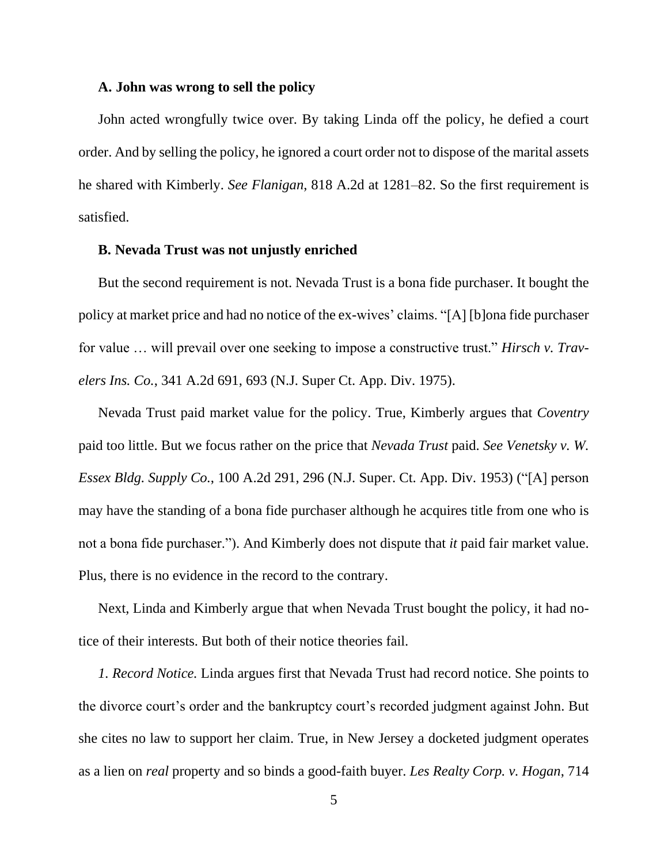#### **A. John was wrong to sell the policy**

John acted wrongfully twice over. By taking Linda off the policy, he defied a court order. And by selling the policy, he ignored a court order not to dispose of the marital assets he shared with Kimberly. *See Flanigan*, 818 A.2d at 1281–82. So the first requirement is satisfied.

#### **B. Nevada Trust was not unjustly enriched**

But the second requirement is not. Nevada Trust is a bona fide purchaser. It bought the policy at market price and had no notice of the ex-wives' claims. "[A] [b]ona fide purchaser for value … will prevail over one seeking to impose a constructive trust." *Hirsch v. Travelers Ins. Co.*, 341 A.2d 691, 693 (N.J. Super Ct. App. Div. 1975).

Nevada Trust paid market value for the policy. True, Kimberly argues that *Coventry* paid too little. But we focus rather on the price that *Nevada Trust* paid. *See Venetsky v. W. Essex Bldg. Supply Co.*, 100 A.2d 291, 296 (N.J. Super. Ct. App. Div. 1953) ("[A] person may have the standing of a bona fide purchaser although he acquires title from one who is not a bona fide purchaser."). And Kimberly does not dispute that *it* paid fair market value. Plus, there is no evidence in the record to the contrary.

Next, Linda and Kimberly argue that when Nevada Trust bought the policy, it had notice of their interests. But both of their notice theories fail.

*1. Record Notice.* Linda argues first that Nevada Trust had record notice. She points to the divorce court's order and the bankruptcy court's recorded judgment against John. But she cites no law to support her claim. True, in New Jersey a docketed judgment operates as a lien on *real* property and so binds a good-faith buyer. *Les Realty Corp. v. Hogan*, 714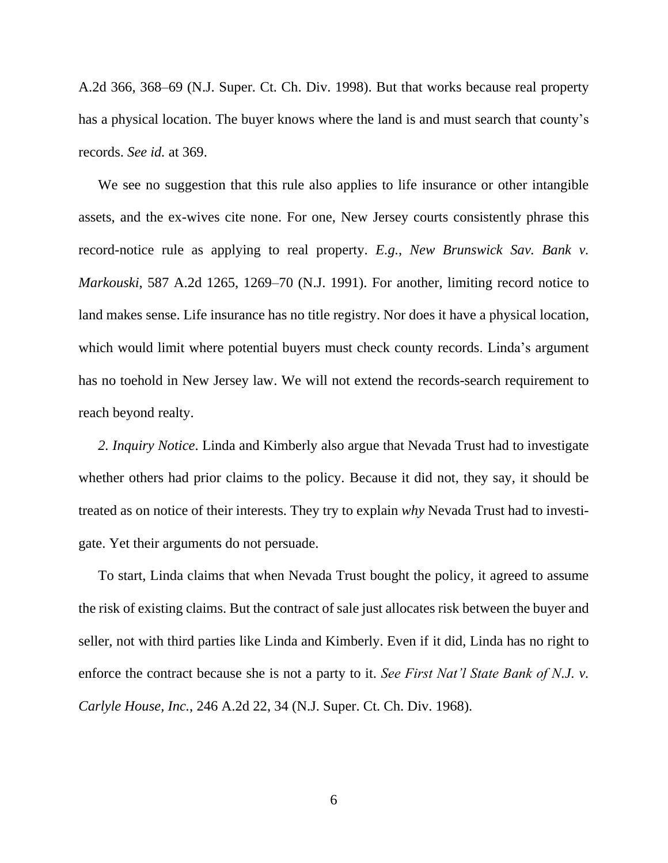A.2d 366, 368–69 (N.J. Super. Ct. Ch. Div. 1998). But that works because real property has a physical location. The buyer knows where the land is and must search that county's records. *See id.* at 369.

We see no suggestion that this rule also applies to life insurance or other intangible assets, and the ex-wives cite none. For one, New Jersey courts consistently phrase this record-notice rule as applying to real property. *E.g.*, *New Brunswick Sav. Bank v. Markouski*, 587 A.2d 1265, 1269–70 (N.J. 1991). For another, limiting record notice to land makes sense. Life insurance has no title registry. Nor does it have a physical location, which would limit where potential buyers must check county records. Linda's argument has no toehold in New Jersey law. We will not extend the records-search requirement to reach beyond realty.

*2. Inquiry Notice*. Linda and Kimberly also argue that Nevada Trust had to investigate whether others had prior claims to the policy. Because it did not, they say, it should be treated as on notice of their interests. They try to explain *why* Nevada Trust had to investigate. Yet their arguments do not persuade.

To start, Linda claims that when Nevada Trust bought the policy, it agreed to assume the risk of existing claims. But the contract of sale just allocates risk between the buyer and seller, not with third parties like Linda and Kimberly. Even if it did, Linda has no right to enforce the contract because she is not a party to it. *See First Nat'l State Bank of N.J. v. Carlyle House, Inc.*, 246 A.2d 22, 34 (N.J. Super. Ct. Ch. Div. 1968).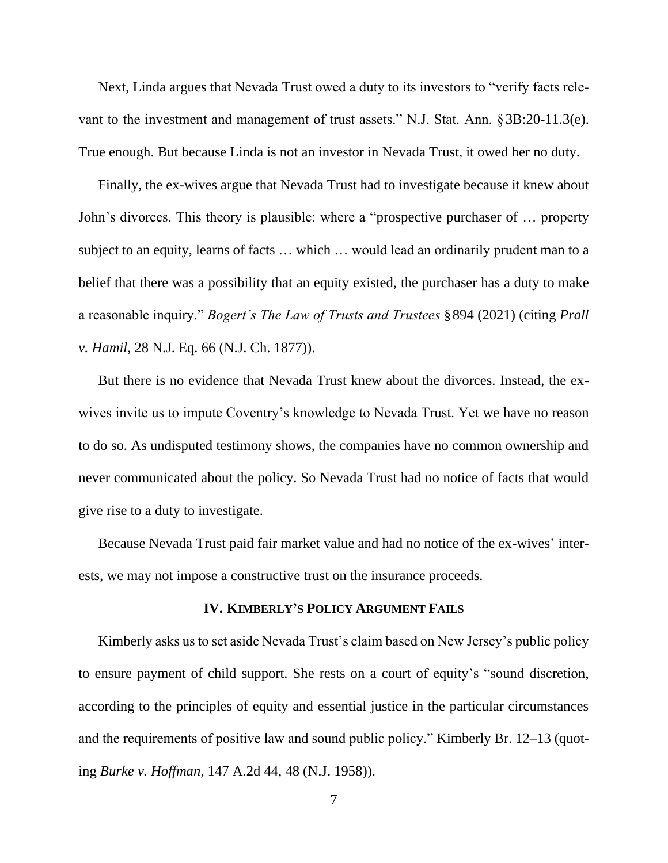Next, Linda argues that Nevada Trust owed a duty to its investors to "verify facts relevant to the investment and management of trust assets." N.J. Stat. Ann. §3B:20-11.3(e). True enough. But because Linda is not an investor in Nevada Trust, it owed her no duty.

Finally, the ex-wives argue that Nevada Trust had to investigate because it knew about John's divorces. This theory is plausible: where a "prospective purchaser of … property subject to an equity, learns of facts … which … would lead an ordinarily prudent man to a belief that there was a possibility that an equity existed, the purchaser has a duty to make a reasonable inquiry." *Bogert's The Law of Trusts and Trustees* §894 (2021) (citing *Prall v. Hamil*, 28 N.J. Eq. 66 (N.J. Ch. 1877)).

But there is no evidence that Nevada Trust knew about the divorces. Instead, the exwives invite us to impute Coventry's knowledge to Nevada Trust. Yet we have no reason to do so. As undisputed testimony shows, the companies have no common ownership and never communicated about the policy. So Nevada Trust had no notice of facts that would give rise to a duty to investigate.

Because Nevada Trust paid fair market value and had no notice of the ex-wives' interests, we may not impose a constructive trust on the insurance proceeds.

## **IV. KIMBERLY'S POLICY ARGUMENT FAILS**

Kimberly asks us to set aside Nevada Trust's claim based on New Jersey's public policy to ensure payment of child support. She rests on a court of equity's "sound discretion, according to the principles of equity and essential justice in the particular circumstances and the requirements of positive law and sound public policy." Kimberly Br. 12–13 (quoting *Burke v. Hoffman*, 147 A.2d 44, 48 (N.J. 1958)).